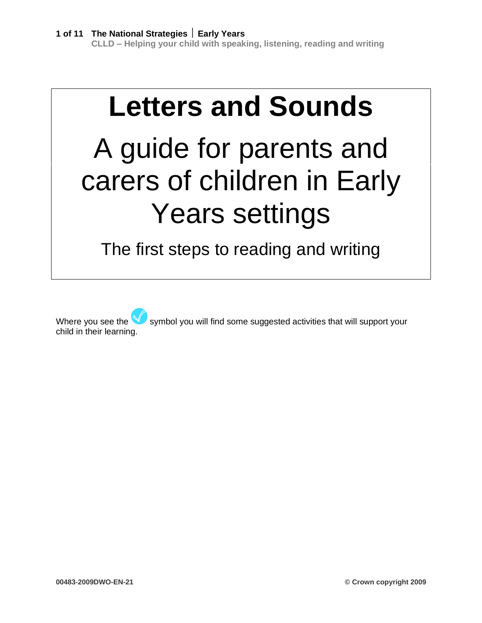# **Letters and Sounds**

# A guide for parents and carers of children in Early Years settings

The first steps to reading and writing

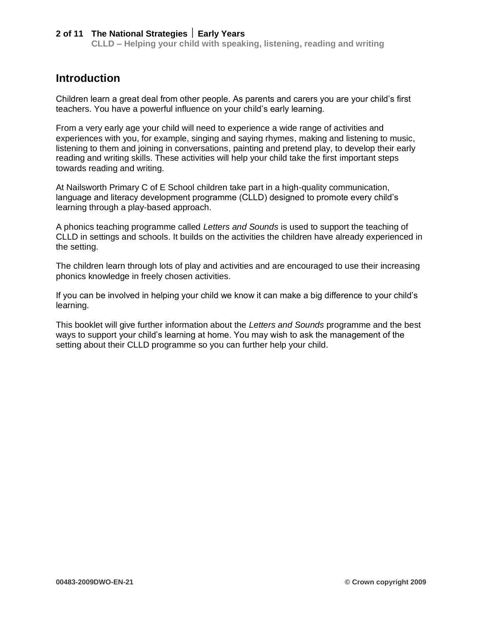**CLLD – Helping your child with speaking, listening, reading and writing**

# **Introduction**

Children learn a great deal from other people. As parents and carers you are your child's first teachers. You have a powerful influence on your child's early learning.

From a very early age your child will need to experience a wide range of activities and experiences with you, for example, singing and saying rhymes, making and listening to music, listening to them and joining in conversations, painting and pretend play, to develop their early reading and writing skills. These activities will help your child take the first important steps towards reading and writing.

At Nailsworth Primary C of E School children take part in a high-quality communication, language and literacy development programme (CLLD) designed to promote every child's learning through a play-based approach.

A phonics teaching programme called *Letters and Sounds* is used to support the teaching of CLLD in settings and schools. It builds on the activities the children have already experienced in the setting.

The children learn through lots of play and activities and are encouraged to use their increasing phonics knowledge in freely chosen activities.

If you can be involved in helping your child we know it can make a big difference to your child's learning.

This booklet will give further information about the *Letters and Sounds* programme and the best ways to support your child's learning at home. You may wish to ask the management of the setting about their CLLD programme so you can further help your child.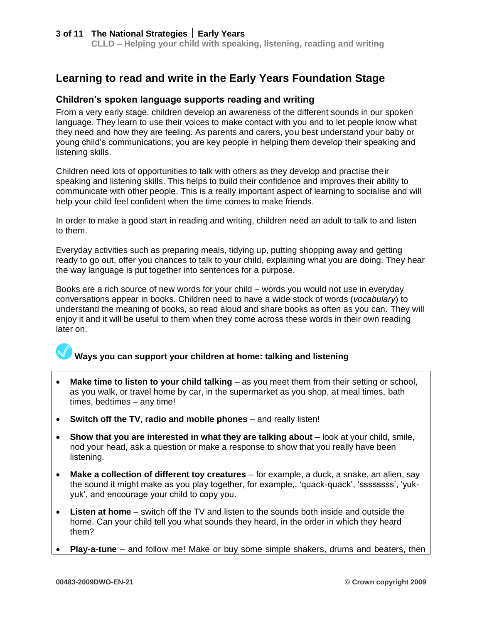**CLLD – Helping your child with speaking, listening, reading and writing**

# **Learning to read and write in the Early Years Foundation Stage**

#### **Children's spoken language supports reading and writing**

From a very early stage, children develop an awareness of the different sounds in our spoken language. They learn to use their voices to make contact with you and to let people know what they need and how they are feeling. As parents and carers, you best understand your baby or young child's communications; you are key people in helping them develop their speaking and listening skills.

Children need lots of opportunities to talk with others as they develop and practise their speaking and listening skills. This helps to build their confidence and improves their ability to communicate with other people. This is a really important aspect of learning to socialise and will help your child feel confident when the time comes to make friends.

In order to make a good start in reading and writing, children need an adult to talk to and listen to them.

Everyday activities such as preparing meals, tidying up, putting shopping away and getting ready to go out, offer you chances to talk to your child, explaining what you are doing. They hear the way language is put together into sentences for a purpose.

Books are a rich source of new words for your child – words you would not use in everyday conversations appear in books. Children need to have a wide stock of words (*vocabulary*) to understand the meaning of books, so read aloud and share books as often as you can. They will enjoy it and it will be useful to them when they come across these words in their own reading later on.

# **Ways you can support your children at home: talking and listening**

- **Make time to listen to your child talking** as you meet them from their setting or school, as you walk, or travel home by car, in the supermarket as you shop, at meal times, bath times, bedtimes – any time!
- **Switch off the TV, radio and mobile phones** and really listen!
- **Show that you are interested in what they are talking about** look at your child, smile, nod your head, ask a question or make a response to show that you really have been listening.
- **Make a collection of different toy creatures** for example, a duck, a snake, an alien, say the sound it might make as you play together, for example,, 'quack-quack', 'ssssssss', 'yukyuk', and encourage your child to copy you.
- **Listen at home** switch off the TV and listen to the sounds both inside and outside the home. Can your child tell you what sounds they heard, in the order in which they heard them?
- **Play-a-tune** and follow me! Make or buy some simple shakers, drums and beaters, then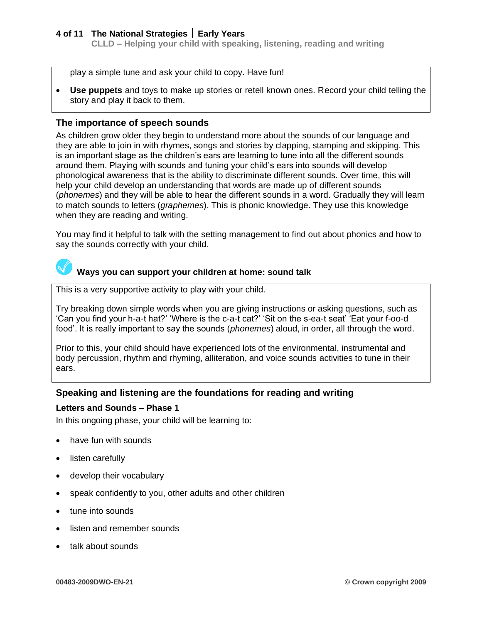**CLLD – Helping your child with speaking, listening, reading and writing**

play a simple tune and ask your child to copy. Have fun!

• **Use puppets** and toys to make up stories or retell known ones. Record your child telling the story and play it back to them.

#### **The importance of speech sounds**

As children grow older they begin to understand more about the sounds of our language and they are able to join in with rhymes, songs and stories by clapping, stamping and skipping. This is an important stage as the children's ears are learning to tune into all the different sounds around them. Playing with sounds and tuning your child's ears into sounds will develop phonological awareness that is the ability to discriminate different sounds. Over time, this will help your child develop an understanding that words are made up of different sounds (*phonemes*) and they will be able to hear the different sounds in a word. Gradually they will learn to match sounds to letters (*graphemes*). This is phonic knowledge. They use this knowledge when they are reading and writing.

You may find it helpful to talk with the setting management to find out about phonics and how to say the sounds correctly with your child.

# **Ways you can support your children at home: sound talk**

This is a very supportive activity to play with your child.

Try breaking down simple words when you are giving instructions or asking questions, such as 'Can you find your h-a-t hat?' 'Where is the c-a-t cat?' 'Sit on the s-ea-t seat' 'Eat your f-oo-d food'. It is really important to say the sounds (*phonemes*) aloud, in order, all through the word.

Prior to this, your child should have experienced lots of the environmental, instrumental and body percussion, rhythm and rhyming, alliteration, and voice sounds activities to tune in their ears.

#### **Speaking and listening are the foundations for reading and writing**

#### **Letters and Sounds – Phase 1**

In this ongoing phase, your child will be learning to:

- have fun with sounds
- listen carefully
- develop their vocabulary
- speak confidently to you, other adults and other children
- tune into sounds
- listen and remember sounds
- talk about sounds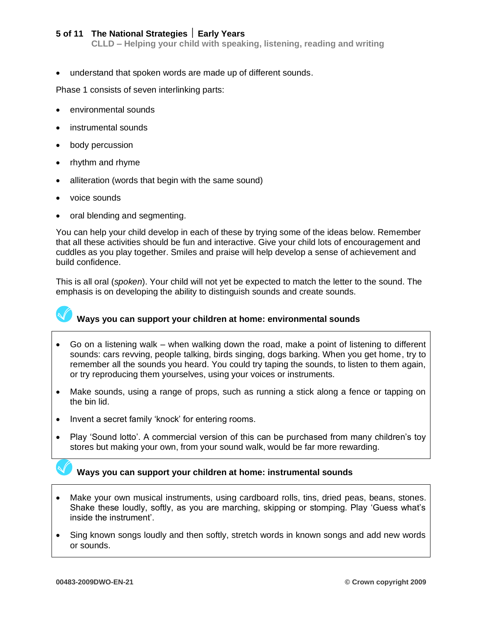**CLLD – Helping your child with speaking, listening, reading and writing**

• understand that spoken words are made up of different sounds.

Phase 1 consists of seven interlinking parts:

- environmental sounds
- instrumental sounds
- body percussion
- rhythm and rhyme
- alliteration (words that begin with the same sound)
- voice sounds
- oral blending and segmenting.

You can help your child develop in each of these by trying some of the ideas below. Remember that all these activities should be fun and interactive. Give your child lots of encouragement and cuddles as you play together. Smiles and praise will help develop a sense of achievement and build confidence.

This is all oral (*spoken*). Your child will not yet be expected to match the letter to the sound. The emphasis is on developing the ability to distinguish sounds and create sounds.



#### **Ways you can support your children at home: environmental sounds**

- Go on a listening walk when walking down the road, make a point of listening to different sounds: cars revving, people talking, birds singing, dogs barking. When you get home, try to remember all the sounds you heard. You could try taping the sounds, to listen to them again, or try reproducing them yourselves, using your voices or instruments.
- Make sounds, using a range of props, such as running a stick along a fence or tapping on the bin lid.
- Invent a secret family 'knock' for entering rooms.
- Play 'Sound lotto'. A commercial version of this can be purchased from many children's toy stores but making your own, from your sound walk, would be far more rewarding.

# **Ways you can support your children at home: instrumental sounds**

- Make your own musical instruments, using cardboard rolls, tins, dried peas, beans, stones. Shake these loudly, softly, as you are marching, skipping or stomping. Play 'Guess what's inside the instrument'.
- Sing known songs loudly and then softly, stretch words in known songs and add new words or sounds.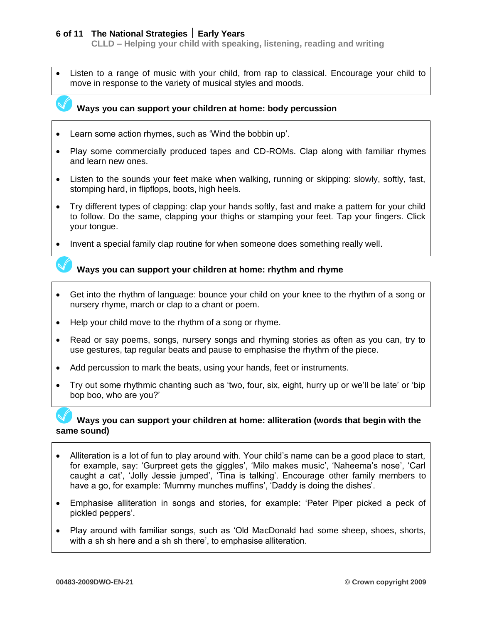**CLLD – Helping your child with speaking, listening, reading and writing**

Listen to a range of music with your child, from rap to classical. Encourage your child to move in response to the variety of musical styles and moods.



- Learn some action rhymes, such as 'Wind the bobbin up'.
- Play some commercially produced tapes and CD-ROMs. Clap along with familiar rhymes and learn new ones.
- Listen to the sounds your feet make when walking, running or skipping: slowly, softly, fast, stomping hard, in flipflops, boots, high heels.
- Try different types of clapping: clap your hands softly, fast and make a pattern for your child to follow. Do the same, clapping your thighs or stamping your feet. Tap your fingers. Click your tongue.
- Invent a special family clap routine for when someone does something really well.



- Get into the rhythm of language: bounce your child on your knee to the rhythm of a song or nursery rhyme, march or clap to a chant or poem.
- Help your child move to the rhythm of a song or rhyme.
- Read or say poems, songs, nursery songs and rhyming stories as often as you can, try to use gestures, tap regular beats and pause to emphasise the rhythm of the piece.
- Add percussion to mark the beats, using your hands, feet or instruments.
- Try out some rhythmic chanting such as 'two, four, six, eight, hurry up or we'll be late' or 'bip bop boo, who are you?'

#### **Ways you can support your children at home: alliteration (words that begin with the same sound)**

- Alliteration is a lot of fun to play around with. Your child's name can be a good place to start, for example, say: 'Gurpreet gets the giggles', 'Milo makes music', 'Naheema's nose', 'Carl caught a cat', 'Jolly Jessie jumped', 'Tina is talking'. Encourage other family members to have a go, for example: 'Mummy munches muffins', 'Daddy is doing the dishes'.
- Emphasise alliteration in songs and stories, for example: 'Peter Piper picked a peck of pickled peppers'.
- Play around with familiar songs, such as 'Old MacDonald had some sheep, shoes, shorts, with a sh sh here and a sh sh there', to emphasise alliteration.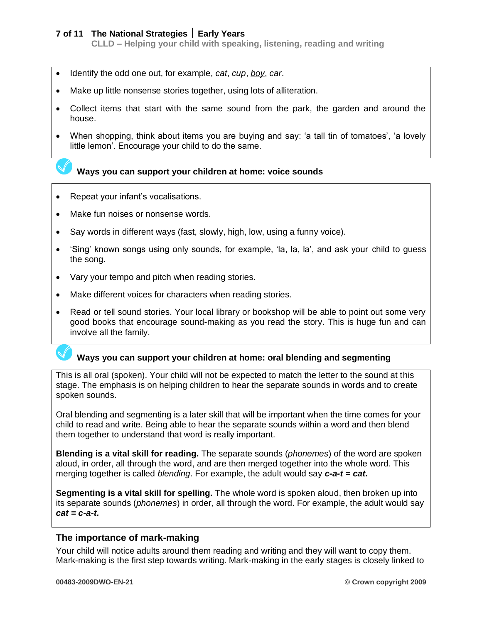**CLLD – Helping your child with speaking, listening, reading and writing**

- Identify the odd one out, for example, *cat*, *cup*, *boy*, *car*.
- Make up little nonsense stories together, using lots of alliteration.
- Collect items that start with the same sound from the park, the garden and around the house.
- When shopping, think about items you are buying and say: 'a tall tin of tomatoes', 'a lovely little lemon'. Encourage your child to do the same.

#### **Ways you can support your children at home: voice sounds**

- Repeat your infant's vocalisations.
- Make fun noises or nonsense words.
- Say words in different ways (fast, slowly, high, low, using a funny voice).
- 'Sing' known songs using only sounds, for example, 'la, la, la', and ask your child to quess the song.
- Vary your tempo and pitch when reading stories.
- Make different voices for characters when reading stories.
- Read or tell sound stories. Your local library or bookshop will be able to point out some very good books that encourage sound-making as you read the story. This is huge fun and can involve all the family.

# **Ways you can support your children at home: oral blending and segmenting**

This is all oral (spoken). Your child will not be expected to match the letter to the sound at this stage. The emphasis is on helping children to hear the separate sounds in words and to create spoken sounds.

Oral blending and segmenting is a later skill that will be important when the time comes for your child to read and write. Being able to hear the separate sounds within a word and then blend them together to understand that word is really important.

**Blending is a vital skill for reading.** The separate sounds (*phonemes*) of the word are spoken aloud, in order, all through the word, and are then merged together into the whole word. This merging together is called *blending*. For example, the adult would say *c-a-t = cat.*

**Segmenting is a vital skill for spelling.** The whole word is spoken aloud, then broken up into its separate sounds (*phonemes*) in order, all through the word. For example, the adult would say *cat = c-a-t.*

#### **The importance of mark-making**

Your child will notice adults around them reading and writing and they will want to copy them. Mark-making is the first step towards writing. Mark-making in the early stages is closely linked to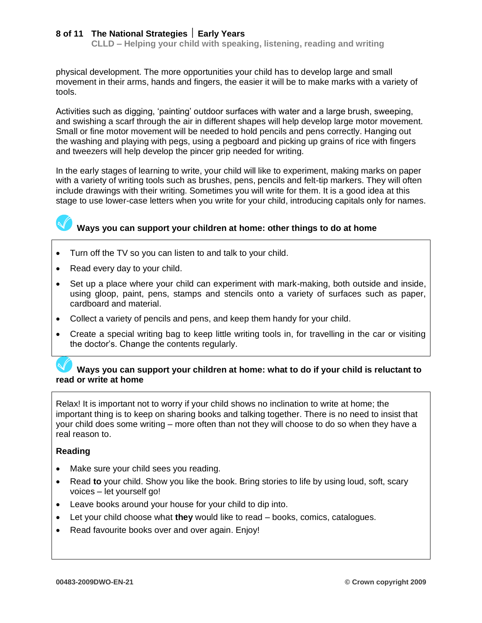**CLLD – Helping your child with speaking, listening, reading and writing**

physical development. The more opportunities your child has to develop large and small movement in their arms, hands and fingers, the easier it will be to make marks with a variety of tools.

Activities such as digging, 'painting' outdoor surfaces with water and a large brush, sweeping, and swishing a scarf through the air in different shapes will help develop large motor movement. Small or fine motor movement will be needed to hold pencils and pens correctly. Hanging out the washing and playing with pegs, using a pegboard and picking up grains of rice with fingers and tweezers will help develop the pincer grip needed for writing.

In the early stages of learning to write, your child will like to experiment, making marks on paper with a variety of writing tools such as brushes, pens, pencils and felt-tip markers. They will often include drawings with their writing. Sometimes you will write for them. It is a good idea at this stage to use lower-case letters when you write for your child, introducing capitals only for names.



# **Ways you can support your children at home: other things to do at home**

- Turn off the TV so you can listen to and talk to your child.
- Read every day to your child.
- Set up a place where your child can experiment with mark-making, both outside and inside, using gloop, paint, pens, stamps and stencils onto a variety of surfaces such as paper, cardboard and material.
- Collect a variety of pencils and pens, and keep them handy for your child.
- Create a special writing bag to keep little writing tools in, for travelling in the car or visiting the doctor's. Change the contents regularly.

#### **Ways you can support your children at home: what to do if your child is reluctant to read or write at home**

Relax! It is important not to worry if your child shows no inclination to write at home; the important thing is to keep on sharing books and talking together. There is no need to insist that your child does some writing – more often than not they will choose to do so when they have a real reason to.

#### **Reading**

- Make sure your child sees you reading.
- Read **to** your child. Show you like the book. Bring stories to life by using loud, soft, scary voices – let yourself go!
- Leave books around your house for your child to dip into.
- Let your child choose what **they** would like to read books, comics, catalogues.
- Read favourite books over and over again. Enjoy!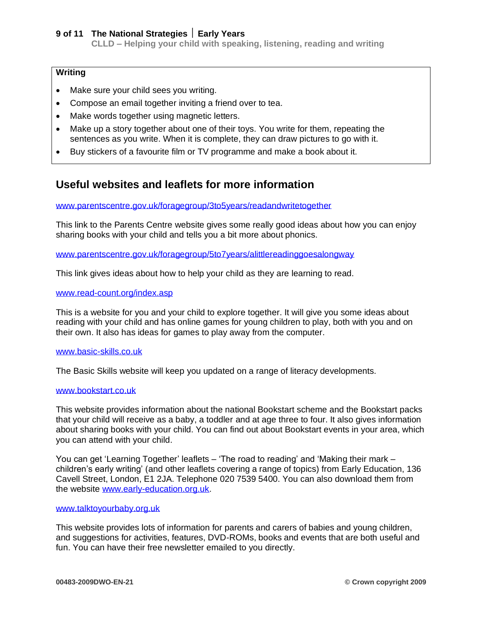**CLLD – Helping your child with speaking, listening, reading and writing**

#### **Writing**

- Make sure your child sees you writing.
- Compose an email together inviting a friend over to tea.
- Make words together using magnetic letters.
- Make up a story together about one of their toys. You write for them, repeating the sentences as you write. When it is complete, they can draw pictures to go with it.
- Buy stickers of a favourite film or TV programme and make a book about it.

# **Useful websites and leaflets for more information**

[www.parentscentre.gov.uk/foragegroup/3to5years/readandwritetogether](http://www.parentscentre.gov.uk/foragegroup/3to5years/readandwritetogether)

This link to the Parents Centre website gives some really good ideas about how you can enjoy sharing books with your child and tells you a bit more about phonics.

#### [www.parentscentre.gov.uk/foragegroup/5to7years/alittlereadinggoesalongway](http://www.parentscentre.gov.uk/foragegroup/5to7years/alittlereadinggoesalongway)

This link gives ideas about how to help your child as they are learning to read.

#### [www.read-count.org/index.asp](http://www.read-count.org/index.asp)

This is a website for you and your child to explore together. It will give you some ideas about reading with your child and has online games for young children to play, both with you and on their own. It also has ideas for games to play away from the computer.

#### [www.basic-skills.co.uk](http://www.basic-skills.co.uk/)

The Basic Skills website will keep you updated on a range of literacy developments.

#### [www.bookstart.co.uk](http://www.bookstart.co.uk/)

This website provides information about the national Bookstart scheme and the Bookstart packs that your child will receive as a baby, a toddler and at age three to four. It also gives information about sharing books with your child. You can find out about Bookstart events in your area, which you can attend with your child.

You can get 'Learning Together' leaflets – 'The road to reading' and 'Making their mark – children's early writing' (and other leaflets covering a range of topics) from Early Education, 136 Cavell Street, London, E1 2JA. Telephone 020 7539 5400. You can also download them from the website [www.early-education.org.uk.](http://www.early-education.org.uk/)

#### [www.talktoyourbaby.org.uk](http://www.talktoyourbaby.org.uk/)

This website provides lots of information for parents and carers of babies and young children, and suggestions for activities, features, DVD-ROMs, books and events that are both useful and fun. You can have their free newsletter emailed to you directly.